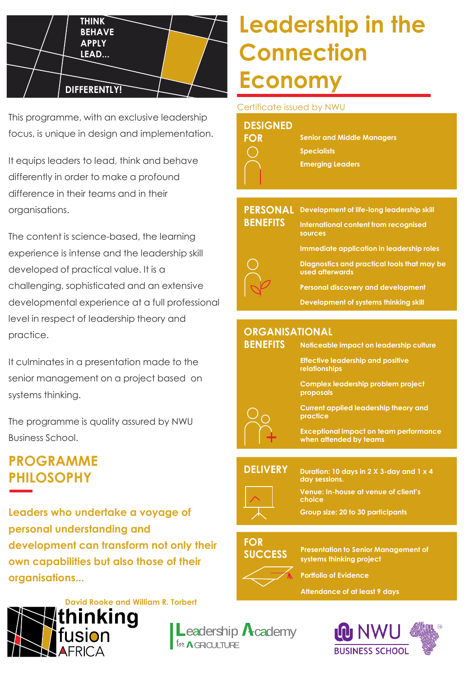

This programme, with an exclusive leadership focus, is unique in design and implementation.

It equips leaders to lead, think and behave differently in order to make a profound difference in their teams and in their organisations.

The content is science-based, the learning experience is intense and the leadership skill developed of practical value. It is a challenging, sophisticated and an extensive developmental experience at a full professional level in respect of leadership theory and practice.

It culminates in a presentation made to the senior management on a project based on systems thinking.

The programme is quality assured by NWU Business School.

## **PROGRAMME PHILOSOPHY**

**Leaders who undertake a voyage of personal understanding and development can transform not only their own capabilities but also those of their organisations...**



# **Leadership in the Connection Economy**

#### Certificate issued by NWU

#### **DESIGNED**

| FOR |  |
|-----|--|
|     |  |
|     |  |
|     |  |

**Senior and Middle Managers Specialists Emerging Leaders**

#### **PERSONAL Development of life-long leadership skill BENEFITS**

**International content from recognised sources Immediate application in leadership roles**



**BENEFITS**

**Diagnostics and practical tools that may be used afterwards**

**Personal discovery and development**

**Development of systems thinking skill**

#### **ORGANISATIONAL**

**Noticeable impact on leadership culture**

**Effective leadership and positive relationships**

**Complex leadership problem project proposals**

**Current applied leadership theory and practice**

**Exceptional impact on team performance when attended by teams**

#### **DELIVERY**

**Duration: 10 days in 2 X 3-day and 1 x 4 day sessions.**

**Venue: In-house at venue of client's choice**

**Group size: 20 to 30 participants**

### **FOR SUCCESS**

**Presentation to Senior Management of systems thinking project**

**Portfolio of Evidence**

**Attendance of at least 9 days**



for **A**GROULTURE eadership  $\Lambda$ cademy